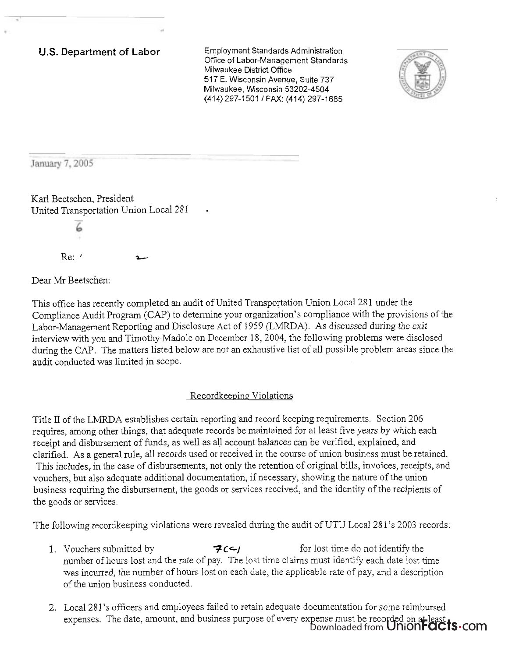**U.S.** Department of **Labor** Employment Standards Administration Office of Labor-Management Standards Milwaukee District Office 517 E. Wisconsin Avenue, Suite 737 Milwaukee, Wisconsin 53202-4504 (414) 297-1501 / FAX: (414) 297-1685



January 7, 2005

Karl Beetschen, President **<sup>t</sup>** United Transportation Union Local 281

> 6 Re: ' **b**

Dear Mr Beetschen:

This office has recently completed an audit of United Transportation Union Local 281 under the Compliance Audit Program (CAP) to determine your organization's compliance with the provisions of the Labor-Management Reporting and Disclosure Act of 1959 (LMRDA). As discussed during the exit interview with you and Timothy,Madole on December 18,2004, the following problems were disclosed during the CAP. The matters listed below are not an exhaustive list of all possible problem areas since the audit conducted was limited in scope.

#### Recordkeeping Violations

Title I1 of the LMRDA establishes certain reporting and record keeping requirements. Section 206 requires, among other things, that adequate records be maintained for at least five years by which each receipt and disbursement of funds, as well as all account balances can be verified, explained, and clarified. As a general rule, all records used or received in the course of union business must be retained. This includes, in the case of disbursements, not only the retention of original bills, invoices, receipts, and vouchers, but also adequate additional documentation, if necessary, showing the nature of the union business requiring the disbursement, the goods or services received, and the identity of the recipients of the goods or services.

The following recordkeeping violations were revealed during the audit of UTU Local 28 1's 2003 records:

- 1. Vouchers submitted by **3 CCJ** for lost time do not identify the number of hours lost and the rate of pay. The lost time claims must identify each date lost time was incurred, the number of hours lost on each date, the applicable rate of pay, and a description of the union business conducted.
- 2. Local 281's officers and employees failed to retain adequate documentation for some reimbursed expenses. The date, amount, and business purpose of every expense must be recorded on at least. Downloaded from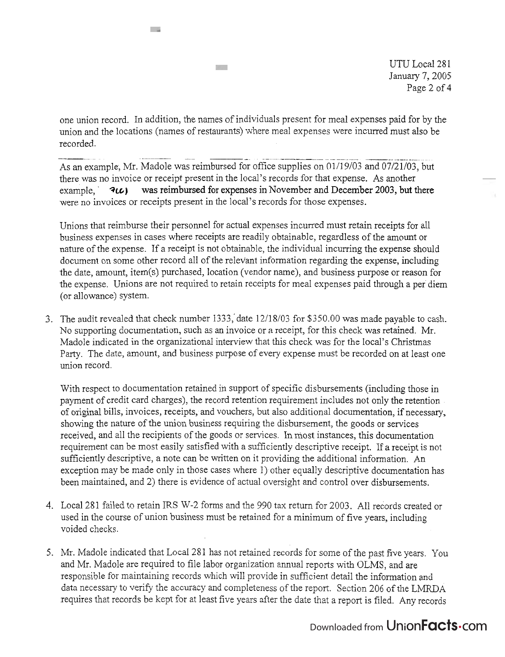UTU Local 281 January 7,2005 Page 2 of 4

one union record. In addition, the names of individuals present for meal expenses paid for by the union and the locations (names of restaurants) where meal expenses were incurred must also be -- -- -- - - - - - - - - - - - - - - - . -. . recorded.

Te s

 $\sim$  22

As an example, Mr. Madole was reimbursed for office supplies on 01/19/03 and 07/21/03, but there was no invoice or receipt present in the local's records for that expense. As another example,  $\mathcal{F}(C)$  was reimbursed for expenses in November and December 2003, but there were no invoices or receipts present in the local's records for those expenses.

Unions that reimburse their personnel for actual expenses incurred must retain receipts for all business expenses in cases where receipts are readily obtainable, regardless of the amount or nature of the expense. If a receipt is not obtainable, the individual incurring the expense should document on some other record all of the relevant information regarding the expense, including the date, amount, item(s) purchased, location (vendor name), and business purpose or reason for the expense. Unions are not required to retain receipts for meal expenses paid through a per diem (or allowance) system.

3. The audit revealed that check number 1333,'date 12/18/03 for \$350.00 was made payable to cash. No supporting documentation, such as an invoice or a receipt, for this check was retained. Mr. Madole indicated in the organizational interview that this check was for the local's Christmas Party. The date, amount, and business purpose of every expense must be recorded on at least one union record.

With respect to documentation retained in support of specific disbursements (including those in payment of credit card charges), the record retention requirement includes not only the retention of original bills, invoices, receipts, and vouchers, but also additional documentation, if necessary, showing the nature of the union business requiring the disbursement, the goods or services received, and all the recipients of the goods or services. In most instances, this documentation requirement can be most easily satisfied with a sufficiently descriptive receipt. If a receipt is not sufficiently descriptive, a note can be written on it providing the additional information. An exception may be made only in those cases where 1) other equally descriptive documentation has been maintained, and 2) there is evidence of actual oversight and control over disbursements.

- 4. Local 281 failed to retain IRS W-2 forms and the 990 tax return for 2003. All records created or used in the course of union business must be retained for a minimum of five years, including voided checks.
- *5.* Mr. Madole indicated that Local 28 1 has not retained records for some of the past five years. You and Mr. Madole are required to file labor organization annual reports with OLMS, and are responsible for maintaining records which will provide in sufficient detail the information and data necessary to verify the accuracy and completeness of the report. Section 206 of the LMRDA requires that records be kept for at least five years after the date that a report is filed. Any records

## Downloaded from UnionFacts.com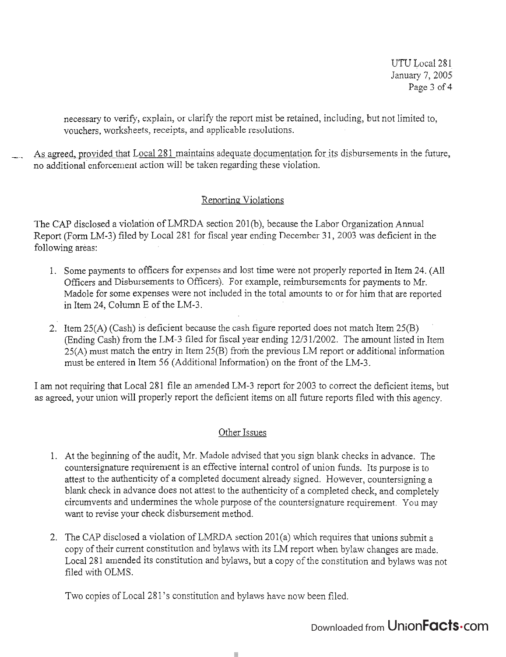necessary to verify, explain, or clarify the report mist be retained, including, but not limited to, vouchers, worksheets, receipts, and applicable resolutions.

As agreed, provided that Local 281 maintains adequate documentation for its disbursements in the future, no additional enforcement action will be taken regarding these violation.

### Reporting Violations

The CAP disclosed a violation of LMRDA section 201(b), because the Labor Organization Annual Report (Form LM-3) filed by Local 281 for fiscal year ending December 31, 2003 was deficient in the following areas:

- 1. Some payments to officers for expenses and lost time were not properly reported in Item 24. (All Officers and Disbursements to Officers). For example, reimbursements for payments to Mr. Madole for some expenses were not included in the total amounts to or for him that are reported in Item 24, Column E of the LM-3.
- 2. Item 25(A) (Cash) is deficient because the cash figure reported does not match Item 25(B) (Ending Cash) from the LM-3 filed for fiscal year ending 1213 1/2002. The amount listed in Item 25(A) must match the entry in Item 25(B) from the previous LM report or additional information must be entered in Item 56 (Additional Information) on the front of the LM-3.

I am not requiring that Local 281 file an amended LM-3 report for 2003 to correct the deficient items, but as agreed, your union will properly report the deficient items on all future reports filed with this agency.

#### Other Issues

- 1. At the beginning of the audit, Mr. Madole advised that you sign blank checks in advance. The countersignature requirement is an effective internal control of union funds. Its purpose is to attest to the authenticity of a completed document already signed. However, countersigning a blank check in advance does not attest to the authenticity of a completed check, and completely circumvents and undermines the whole purpose of the countersignature requirement. You may want to revise your check disbursement method.
- 3. The CAP disclosed a violation of LMRDA section 201(a) which requires that unions submit a copy of their current constitution and bylaws with its LM report when bylaw changes are made. Local 281 amended its constitution and bylaws, but a copy of the constitution and bylaws was not filed with OLMS.

Two copies of Local 281's constitution and bylaws have now been filed.

## Downloaded from Union**Facts**.com